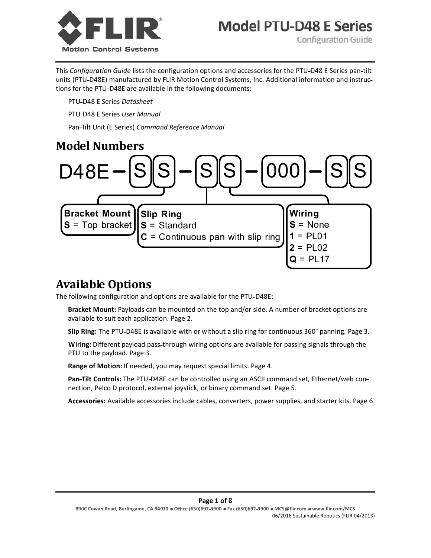

**Model PTU-D48 E Series** 

**Configuration Guide** 

This *Configuration Guide* lists the configuration options and accessories for the PTU D48 E Series pan tilt units (PTU-D48E) manufactured by FLIR Motion Control Systems, Inc. Additional information and instructions for the PTU-D48E are available in the following documents:

PTU D48 E Series *Datasheet*

PTU D48 E Series *User Manual*

Pan Tilt Unit (E Series) *Command Reference Manual*

## **Model Numbers**



# **Available Options**

The following configuration and options are available for the PTU-D48E:

 **Bracket Mount:** Payloads can be mounted on the top and/or side. A number of bracket options are available to suit each application. Page 2.

**Slip Ring:** The PTU D48E is available with or without a slip ring for continuous 360° panning. Page 3.

 **Wiring:** Different payload pass through wiring options are available for passing signals through the PTU to the payload. Page 3.

**Range of Motion:** If needed, you may request special limits. Page 4.

Pan-Tilt Controls: The PTU-D48E can be controlled using an ASCII command set, Ethernet/web connection, Pelco D protocol, external joystick, or binary command set. Page 5.

**Accessories:** Available accessories include cables, converters, power supplies, and starter kits. Page 6.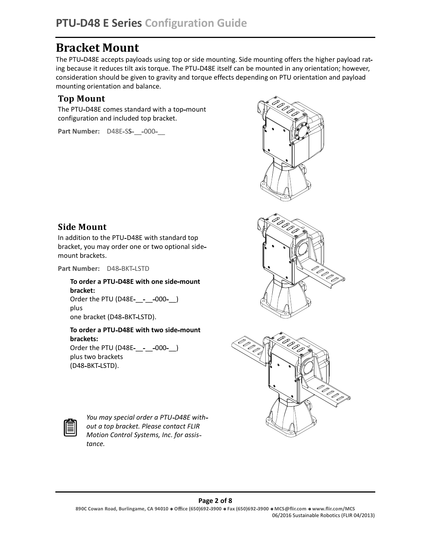# **Bracket Mount**

The PTU-D48E accepts payloads using top or side mounting. Side mounting offers the higher payload rating because it reduces tilt axis torque. The PTU-D48E itself can be mounted in any orientation; however, consideration should be given to gravity and torque effects depending on PTU orientation and payload mounting orientation and balance.

#### **Top Mount**

The PTU-D48E comes standard with a top-mount configuration and included top bracket.

**Part Number:** D48E-SS-\_\_-000-\_\_







#### **Side Mount**

In addition to the PTU-D48E with standard top bracket, you may order one or two optional side mount brackets.

Part Number: D48-BKT-LSTD

#### **To order a PTU D48E with one side mount bracket:** Order the PTU (D48E-\_\_-\_\_-000-\_\_) plus one bracket (D48-BKT-LSTD).

#### **To order a PTU D48E with two side mount brackets:**

Order the PTU (D48E-\_\_-\_\_-000-\_) plus two brackets (D48-BKT-LSTD).



*You may special order a PTU D48E with out a top bracket. Please contact FLIR Motion Control Systems, Inc. for assis tance.*

#### **Page 2 of 8**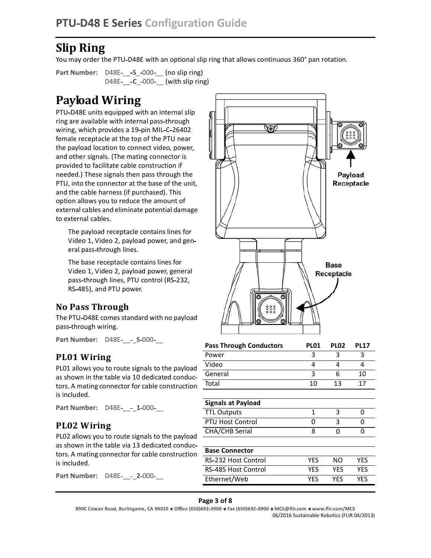# **Slip Ring**

You may order the PTU-D48E with an optional slip ring that allows continuous 360° pan rotation.

**Part Number:** D48E-\_\_-S\_-000-\_\_ (no slip ring) D48E- -C\_-000- (with slip ring)

# **Payload Wiring**

PTU-D48E units equipped with an internal slip ring are available with internal pass through wiring, which provides a 19-pin MIL-C-26402 female receptacle at the top of the PTU near the payload location to connect video, power, and other signals. (The mating connector is provided to facilitate cable construction if needed.) These signals then pass through the PTU, into the connector at the base of the unit, and the cable harness (if purchased). This option allows you to reduce the amount of external cables and eliminate potential damage to external cables.

 The payload receptacle contains lines for Video 1, Video 2, payload power, and gen eral pass-through lines.

 The base receptacle contains lines for Video 1, Video 2, payload power, general pass-through lines, PTU control (RS-232, RS 485), and PTU power.

#### **No Pass Through**

The PTU-D48E comes standard with no payload pass through wiring.

**Part Number:** D48E- - S-000-

#### **PL01 Wiring**

PL01 allows you to route signals to the payload as shown in the table via 10 dedicated conduc tors. A mating connector for cable construction is included.

**Part Number:** D48E- - 1-000-

#### **PL02 Wiring**

PL02 allows you to route signals to the payload as shown in the table via 13 dedicated conduc tors. A mating connector for cable construction is included.

**Part Number:** D48E- - 2-000-



| <b>Pass Through Conductors</b> | PL <sub>01</sub> | PLO <sub>2</sub> | <b>PL17</b> |
|--------------------------------|------------------|------------------|-------------|
| Power                          |                  |                  |             |
| Video                          |                  |                  |             |
| General                        |                  |                  | 10          |
| Total                          | 10               | 13               | 17          |

| <b>Signals at Payload</b> |  |  |
|---------------------------|--|--|
| <b>TTL Outputs</b>        |  |  |
| <b>PTU Host Control</b>   |  |  |
| CHA/CHB Serial            |  |  |
|                           |  |  |

| <b>PTU Host Control</b>                                         |     | 3   |     |  |
|-----------------------------------------------------------------|-----|-----|-----|--|
| <b>CHA/CHB Serial</b>                                           | 8   |     |     |  |
|                                                                 |     |     |     |  |
| <b>Base Connector</b>                                           |     |     |     |  |
| RS-232 Host Control                                             | YES | NΟ  | YES |  |
| RS-485 Host Control                                             | YFS | YFS | YES |  |
| Ethernet/Web                                                    | YFS | YFS | YES |  |
|                                                                 |     |     |     |  |
| Page 3 of 8                                                     |     |     |     |  |
| )692-3900 · Fax (650)692-3900 · MCS@flir.com · www.flir.com/MCS |     |     |     |  |
| 06/2016 Sustainable Robotics (FLIR 04/2013)                     |     |     |     |  |

#### **Page 3 of 8**

**890C Cowan Road, Burlingame, CA 94010 O ce (650)692 3900 Fax (650)692 3900 MCS@ir.com www.ir.com/MCS** 06/2016 Sustainable Robotics (FLIR 04/2013)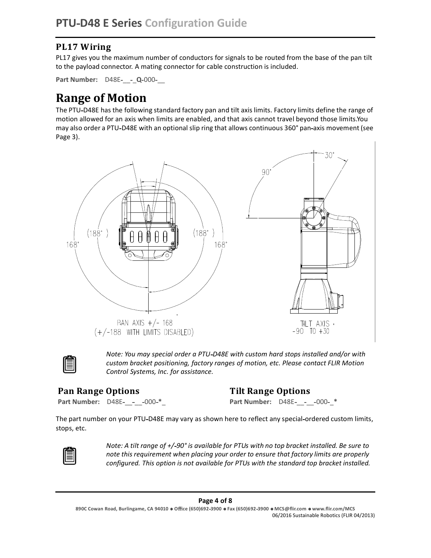## **PL17 Wiring**

PL17 gives you the maximum number of conductors for signals to be routed from the base of the pan tilt to the payload connector. A mating connector for cable construction is included.

**Part Number:** D48E-\_\_-\_ Q-000-\_\_

# **Range of Motion**

The PTU-D48E has the following standard factory pan and tilt axis limits. Factory limits define the range of motion allowed for an axis when limits are enabled, and that axis cannot travel beyond those limits.You may also order a PTU-D48E with an optional slip ring that allows continuous 360° pan-axis movement (see Page 3).





*Note: You may special order a PTU D48E with custom hard stops installed and/or with custom bracket positioning, factory ranges of motion, etc. Please contact FLIR Motion Control Systems, Inc. for assistance.*

#### **Pan Range Options**

#### **Tilt Range Options**

**Part Number:** D48E-\_\_-\_\_-000-\*\_

**Part Number:** D48E-\_\_-\_\_-000-\_\*

The part number on your PTU-D48E may vary as shown here to reflect any special-ordered custom limits, stops, etc.



*Note: A tilt range of +/ 90° is available for PTUs with no top bracket installed. Be sure to note this requirement when placing your order to ensure that factory limits are properly configured. This option is not available for PTUs with the standard top bracket installed.*

#### **Page 4 of 8**

**<sup>890</sup>C Cowan Road, Burlingame, CA 94010 O ce (650)692 3900 Fax (650)692 3900 MCS@ir.com www.ir.com/MCS** 03/2013 06/2016 Sustainable Robotics (FLIR 04/2013)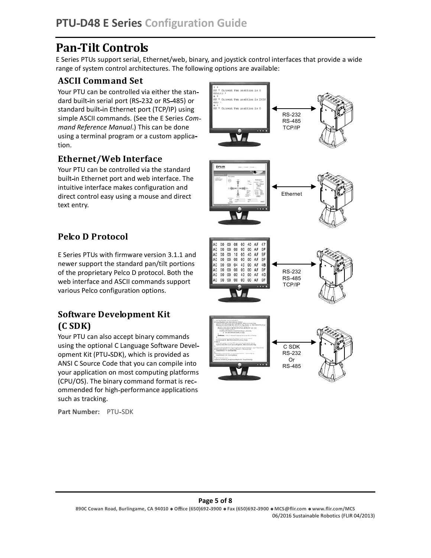# **Pan Tilt Controls**

E Series PTUs support serial, Ethernet/web, binary, and joystick control interfaces that provide a wide range of system control architectures. The following options are available:

### **ASCII Command Set**

Your PTU can be controlled via either the stan dard built-in serial port (RS-232 or RS-485) or standard built-in Ethernet port (TCP/IP) using simple ASCII commands. (See the E Series *Com mand Reference Manual*.) This can be done using a terminal program or a custom applica tion.

### **Ethernet/Web Interface**

Your PTU can be controlled via the standard built in Ethernet port and web interface. The intuitive interface makes configuration and direct control easy using a mouse and direct text entry.

## **Pelco D Protocol**

E Series PTUs with firmware version 3.1.1 and newer support the standard pan/tilt portions of the proprietary Pelco D protocol. Both the web interface and ASCII commands support various Pelco configuration options.

## **Software Development Kit (C SDK)**

Your PTU can also accept binary commands using the optional C Language Software Devel opment Kit (PTU SDK), which is provided as ANSI C Source Code that you can compile into your application on most computing platforms (CPU/OS). The binary command format is rec ommended for high performance applications such as tracking.

Part Number: PTU-SDK



#### **Page 5 of 8**

**890C Cowan Road, Burlingame, CA 94010 O ce (650)692 3900 Fax (650)692 3900 MCS@ir.com www.ir.com/MCS** 03/2013 06/2016 Sustainable Robotics (FLIR 04/2013)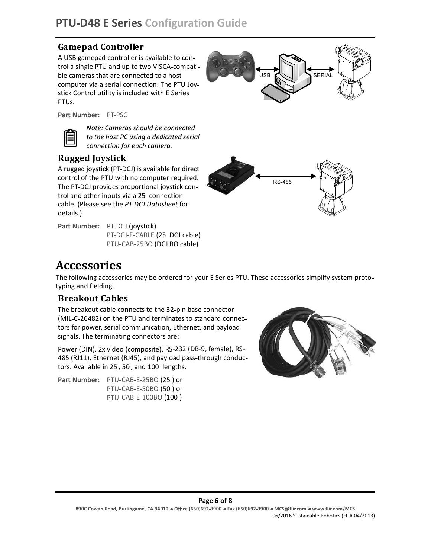## **Gamepad Controller**

A USB gamepad controller is available to con trol a single PTU and up to two VISCA compati ble cameras that are connected to a host computer via a serial connection. The PTU Joy stick Control utility is included with E Series PTUs.



**Part Number: PT-PSC** 



*Note: Cameras should be connected to the host PC using a dedicated serial connection for each camera.*

## **Rugged Joystick**

A rugged joystick (PT DCJ) is available for direct control of the PTU with no computer required. The PT-DCJ provides proportional joystick control and other inputs via a 25 connection cable. (Please see the *PT DCJ Datasheet* for details.)

Part Number: PT-DCJ (joystick) PT-DCJ-E-CABLE (25 DCJ cable) PTU-CAB-25BO (DCJ BO cable)



# **Accessories**

The following accessories may be ordered for your E Series PTU. These accessories simplify system proto typing and fielding.

#### **Breakout Cables**

The breakout cable connects to the 32-pin base connector (MIL-C-26482) on the PTU and terminates to standard connectors for power, serial communication, Ethernet, and payload signals. The terminating connectors are:

Power (DIN), 2x video (composite), RS-232 (DB-9, female), RS-485 (RJ11), Ethernet (RJ45), and payload pass-through conductors. Available in 25 , 50 , and 100 lengths.

Part Number: PTU-CAB-E-25BO (25 ) or PTU-CAB-E-50BO (50) or PTU-CAB-E-100BO (100)



#### **Page 6 of 8**

**890C Cowan Road, Burlingame, CA 94010 O ce (650)692 3900 Fax (650)692 3900 MCS@ir.com www.ir.com/MCS** 03/2013 06/2016 Sustainable Robotics (FLIR 04/2013)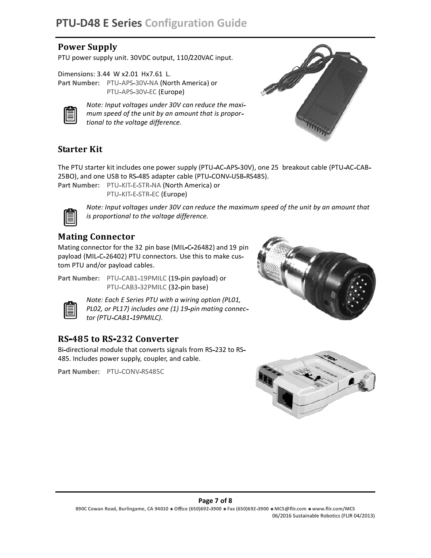#### **Power Supply**

PTU power supply unit. 30VDC output, 110/220VAC input.

Dimensions: 3.44 W x2.01 Hx7.61 L. Part Number: PTU-APS-30V-NA (North America) or PTU-APS-30V-EC (Europe)



*Note: Input voltages under 30V can reduce the maxi mum speed of the unit by an amount that is propor tional to the voltage difference.*



#### **Starter Kit**

The PTU starter kit includes one power supply (PTU-AC-APS-30V), one 25 breakout cable (PTU-AC-CAB-25BO), and one USB to RS-485 adapter cable (PTU-CONV-USB-RS485).

Part Number: PTU-KIT-E-STR-NA (North America) or PTU-KIT-E-STR-EC (Europe)



*Note: Input voltages under 30V can reduce the maximum speed of the unit by an amount that is proportional to the voltage difference.*

#### **Mating Connector**

Mating connector for the 32 pin base (MIL-C-26482) and 19 pin payload (MIL-C-26402) PTU connectors. Use this to make custom PTU and/or payload cables.



Part Number: PTU-CAB1-19PMILC (19-pin payload) or PTU-CAB3-32PMILC (32-pin base)



*Note: Each E Series PTU with a wiring option (PL01, PL02, or PL17) includes one (1) 19 pin mating connec tor (PTU CAB1 19PMILC).*

#### **RS 485 to RS 232 Converter**

Bi-directional module that converts signals from RS-232 to RS-485. Includes power supply, coupler, and cable.

Part Number: PTU-CONV-RS485C





#### **Page 7 of 8**

**890C Cowan Road, Burlingame, CA 94010 O ce (650)692 3900 Fax (650)692 3900 MCS@ir.com www.ir.com/MCS** 03/2013 06/2016 Sustainable Robotics (FLIR 04/2013)